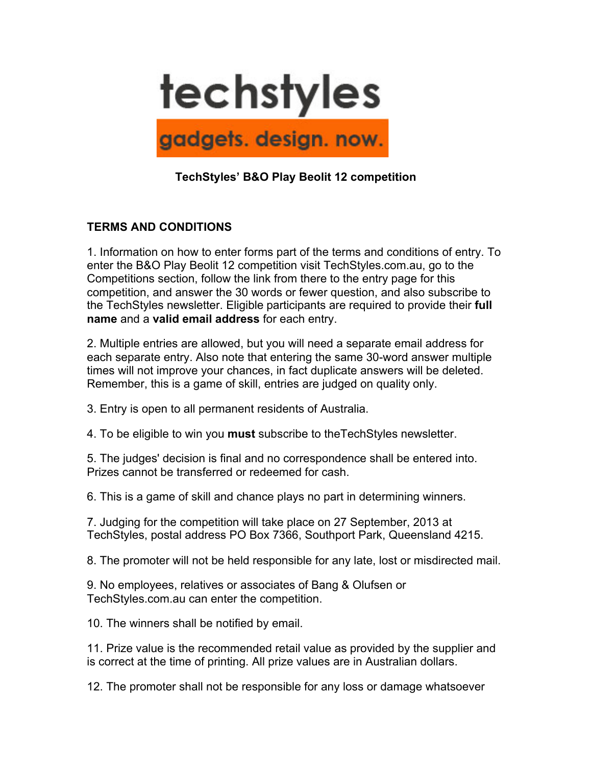

## **TechStyles' B&O Play Beolit 12 competition**

## **TERMS AND CONDITIONS**

1. Information on how to enter forms part of the terms and conditions of entry. To enter the B&O Play Beolit 12 competition visit TechStyles.com.au, go to the Competitions section, follow the link from there to the entry page for this competition, and answer the 30 words or fewer question, and also subscribe to the TechStyles newsletter. Eligible participants are required to provide their **full name** and a **valid email address** for each entry.

2. Multiple entries are allowed, but you will need a separate email address for each separate entry. Also note that entering the same 30-word answer multiple times will not improve your chances, in fact duplicate answers will be deleted. Remember, this is a game of skill, entries are judged on quality only.

3. Entry is open to all permanent residents of Australia.

4. To be eligible to win you **must** subscribe to theTechStyles newsletter.

5. The judges' decision is final and no correspondence shall be entered into. Prizes cannot be transferred or redeemed for cash.

6. This is a game of skill and chance plays no part in determining winners.

7. Judging for the competition will take place on 27 September, 2013 at TechStyles, postal address PO Box 7366, Southport Park, Queensland 4215.

8. The promoter will not be held responsible for any late, lost or misdirected mail.

9. No employees, relatives or associates of Bang & Olufsen or TechStyles.com.au can enter the competition.

10. The winners shall be notified by email.

11. Prize value is the recommended retail value as provided by the supplier and is correct at the time of printing. All prize values are in Australian dollars.

12. The promoter shall not be responsible for any loss or damage whatsoever